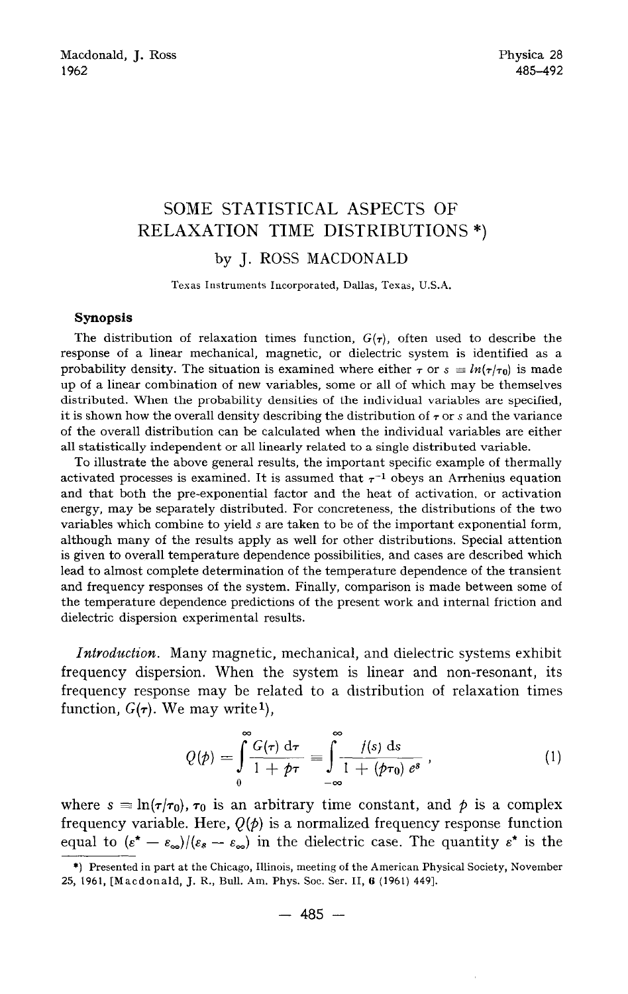## **SOME STATISTICAL ASPECTS OF RELAXATION TIME DISTRIBUTIONS \*)**  by J. ROSS MACDONALD

Texas Instruments Incorporated, Dallas, Texas, U.S.A.

## **Synopsis**

The distribution of relaxation times function,  $G(\tau)$ , often used to describe the response of a linear mechanical, magnetic, or dielectric system is identified as a probability density. The situation is examined where either  $\tau$  or  $s \equiv ln(\tau/\tau_0)$  is made up of a linear combination of new variables, some or all of which may be themselves distributed. When the probability densities of the individual variables are specified, it is shown how the overall density describing the distribution of  $\tau$  or s and the variance of the overall distribution can be calculated when the individual variables are either all statistically independent or all linearly related to a single distributed variable.

To illustrate the above general results, the important specific example of thermally activated processes is examined. It is assumed that  $\tau^{-1}$  obeys an Arrhenius equation and that both the pre-exponential factor and the heat of activation, or activation energy, may be separately distributed. For concreteness, the distributions of the two variables which combine to yield s are taken to be of the important exponential form, although many of the results apply as well for other distributions. Special attention is given to overall temperature dependence possibilities, and cases are described which lead to almost complete determination of the temperature dependence of the transient and frequency responses of the system. Finally, comparison is made between some of the temperature dependence predictions of the present work and internal friction and dielectric dispersion experimental results.

*Introduction.* Many magnetic, mechanical, and dielectric systems exhibit frequency dispersion. When the system is linear and non-resonant, its frequency response may be related to a distribution of relaxation times function,  $G(\tau)$ . We may write<sup>1</sup>),

$$
Q(\phi) = \int_{0}^{\infty} \frac{G(\tau) d\tau}{1 + \phi \tau} \equiv \int_{-\infty}^{\infty} \frac{f(s) ds}{1 + (\phi \tau_0) e^s}, \qquad (1)
$$

where  $s \equiv \ln(\tau/\tau_0)$ ,  $\tau_0$  is an arbitrary time constant, and  $\phi$  is a complex frequency variable. Here,  $Q(\phi)$  is a normalized frequency response function equal to  $(\varepsilon^* - \varepsilon_{\infty})/(\varepsilon_s - \varepsilon_{\infty})$  in the dielectric case. The quantity  $\varepsilon^*$  is the

<sup>\*)</sup> Presented in part at the Chicago, Illinois, meeting of the American Physical Society, November 25, 1961, [Macdonald, J. R., Bull. Am. Phys. Soc. Ser. II, 6 (1961) 449].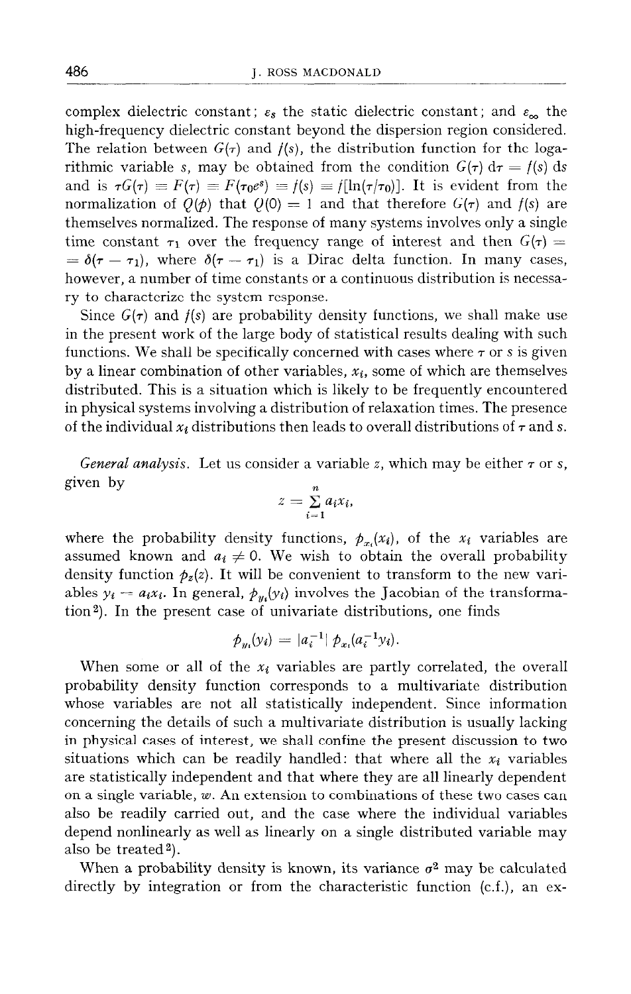complex dielectric constant;  $\varepsilon_s$  the static dielectric constant; and  $\varepsilon_{\infty}$  the high-frequency dielectric constant beyond the dispersion region considered. The relation between  $G(\tau)$  and  $f(s)$ , the distribution function for the logarithmic variable s, may be obtained from the condition  $G(\tau) d\tau = f(s) ds$ and is  $\tau G(\tau) \equiv F(\tau) \equiv F(\tau_0 e^s) \equiv f(s) \equiv f[\ln(\tau/\tau_0)]$ . It is evident from the normalization of  $Q(\phi)$  that  $Q(0) = 1$  and that therefore  $G(\tau)$  and  $f(s)$  are themselves normalized. The response of many systems involves only a single time constant  $\tau_1$  over the frequency range of interest and then  $G(\tau) =$  $= \delta(\tau - \tau_1)$ , where  $\delta(\tau - \tau_1)$  is a Dirac delta function. In many cases, however, a number of time constants or a continuous distribution is necessary to characterize the system response.

Since  $G(\tau)$  and  $f(s)$  are probability density functions, we shall make use in the present work of the large body of statistical results dealing with such functions. We shall be specifically concerned with cases where  $\tau$  or s is given by a linear combination of other variables,  $x_i$ , some of which are themselves distributed. This is a situation which is likely to be frequently encountered in physical systems involving a distribution of relaxation times. The presence of the individual  $x_i$  distributions then leads to overall distributions of  $\tau$  and s.

*General analysis.* Let us consider a variable z, which may be either  $\tau$  or s, given by

$$
z=\sum_{i=1}^n a_i x_i,
$$

where the probability density functions,  $p_{x_i}(x_i)$ , of the  $x_i$  variables are assumed known and  $a_i \neq 0$ . We wish to obtain the overall probability density function  $p_z(z)$ . It will be convenient to transform to the new variables  $y_i = a_i x_i$ . In general,  $\phi_{\mu} (y_i)$  involves the Jacobian of the transformation<sup>2</sup>). In the present case of univariate distributions, one finds

$$
\phi_{u_i}(y_i) = |a_i^{-1}| \phi_{x_i}(a_i^{-1}y_i).
$$

When some or all of the  $x_i$  variables are partly correlated, the overall probability density function corresponds to a multivariate distribution whose variables are not all statistically independent. Since information concerning the details of such a multivariate distribution is usually lacking in physical cases of interest, we shall confine the present discussion to two situations which can be readily handled: that where all the  $x_i$  variables are statistically independent and that where they are all linearly dependent on a single variable, w. An extension to combinations of these two cases can also be readily carried out, and the case where the individual variables depend nonlinearly as well as linearly on a single distributed variable may also be treated<sup>2</sup>).

When a probability density is known, its variance  $\sigma^2$  may be calculated directly by integration or from the characteristic function (c.f.), an ex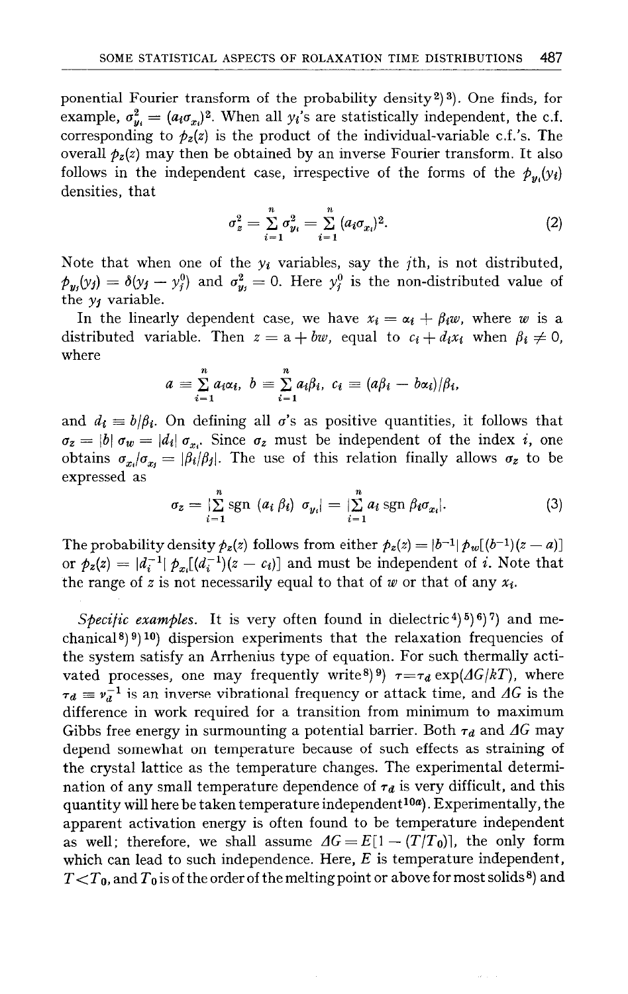ponential Fourier transform of the probability density<sup>2</sup>)<sup>3</sup>). One finds, for example,  $\sigma_{y_i}^2 = (a_i \sigma_{x_i})^2$ . When all  $y_i$ 's are statistically independent, the c.f. corresponding to  $p_z(z)$  is the product of the individual-variable c.f.'s. The overall  $p_z(z)$  may then be obtained by an inverse Fourier transform. It also follows in the independent case, irrespective of the forms of the  $p_u(y_i)$ densities, that

$$
\sigma_z^2 = \sum_{i=1}^n \sigma_{y_i}^2 = \sum_{i=1}^n (a_i \sigma_{x_i})^2.
$$
 (2)

Note that when one of the  $y_i$  variables, say the *j*th, is not distributed,  $\hat{\rho}_{y_i}(y_j) = \delta(y_j - y_j^0)$  and  $\sigma_{y_i}^2 = 0$ . Here  $y_j^0$  is the non-distributed value of the  $y_j$  variable.

In the linearly dependent case, we have  $x_i = \alpha_i + \beta_i w$ , where w is a distributed variable. Then  $z = a + bw$ , equal to  $c_i + d_i x_i$  when  $\beta_i \neq 0$ , where

$$
a=\sum_{i=1}^n a_i\alpha_i, b=\sum_{i=1}^n a_i\beta_i, c_i=(a\beta_i-b\alpha_i)/\beta_i,
$$

and  $d_i \equiv b/\beta_i$ . On defining all  $\sigma$ 's as positive quantities, it follows that  $\sigma_z = |b| \sigma_w = |d_i| \sigma_{x_i}$ . Since  $\sigma_z$  must be independent of the index i, one obtains  $\sigma_{x_i}/\sigma_{x_i} = |\beta_i/\beta_j|$ . The use of this relation finally allows  $\sigma_z$  to be expressed as

$$
\sigma_z = \sum_{i=1}^n \text{sgn} \ (a_i \ \beta_i) \ \sigma_{y_i} = \sum_{i=1}^n a_i \ \text{sgn} \ \beta_i \sigma_{x_i} \tag{3}
$$

The probability density  $\phi_z(z)$  follows from either  $\phi_z(z) = |b^{-1}| \phi_w[(b^{-1})(z-a)]$ *or*  $p_z(z) = |d_i^{-1}| p_{x_i}[(d_i^{-1})(z - c_i)]$  and must be independent of *i*. Note that the range of z is not necessarily equal to that of w or that of any  $x_i$ .

*Specific examples.* It is very often found in dielectric<sup>4</sup> $(5)$ <sup>6</sup> $(7)$  and mechanical<sup>8</sup>)<sup>9</sup>)<sup>10</sup>) dispersion experiments that the relaxation frequencies of the system satisfy an Arrhenius type of equation. For such thermally activated processes, one may frequently write<sup>8) 9</sup>)  $\tau = \tau_d \exp(\Delta G/kT)$ , where  $\tau_d \equiv v_d^{-1}$  is an inverse vibrational frequency or attack time, and AG is the difference in work required for a transition from minimum to maximum Gibbs free energy in surmounting a potential barrier. Both  $\tau_d$  and  $\Delta G$  may depend somewhat on temperature because of such effects as straining of the crystal lattice as the temperature changes. The experimental determination of any small temperature dependence of  $\tau_d$  is very difficult, and this quantity will here be taken temperature independent<sup>10a</sup>). Experimentally, the apparent activation energy is often found to be temperature independent as well; therefore, we shall assume  $\Delta G = E[1 - (T/T_0)]$ , the only form which can lead to such independence. Here, *E* is temperature independent,  $T < T_0$ , and  $T_0$  is of the order of the melting point or above for most solids<sup>8</sup>) and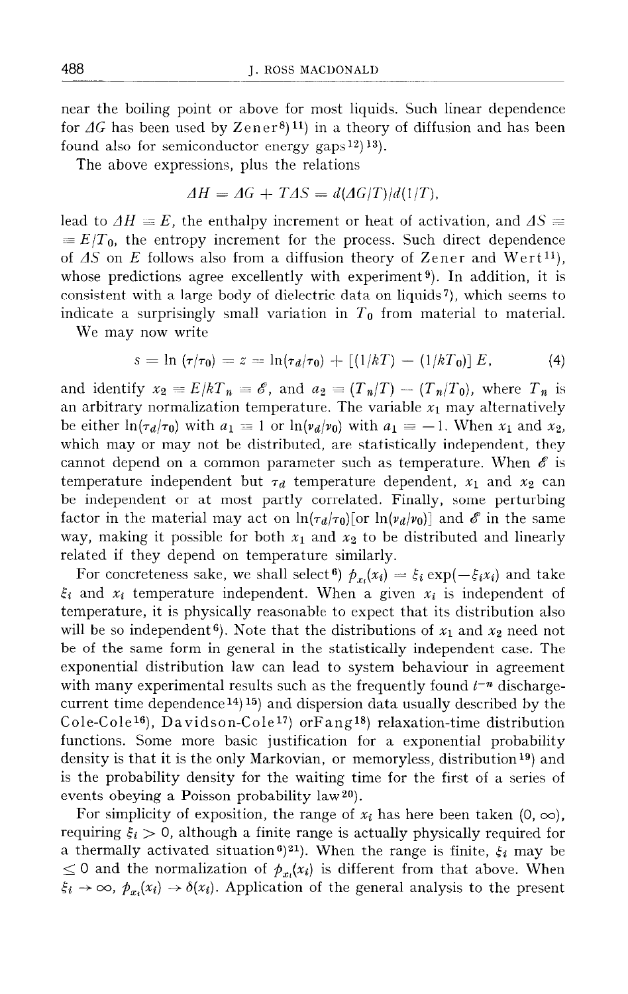near the boiling point or above for most liquids. Such linear dependence for  $\Delta G$  has been used by Zener<sup>8</sup>)<sup>11</sup>) in a theory of diffusion and has been found also for semiconductor energy gaps<sup>12</sup>)<sup>13</sup>).

The above expressions, plus the relations

$$
\Delta H = \Delta G + T \Delta S = d(\Delta G/T)/d(1/T),
$$

lead to  $\Delta H \equiv E$ , the enthalpy increment or heat of activation, and  $\Delta S \equiv$  $\equiv E/T_0$ , the entropy increment for the process. Such direct dependence of  $\Delta S$  on  $E$  follows also from a diffusion theory of Zener and Wert<sup>11</sup>), whose predictions agree excellently with experiment<sup>9</sup>). In addition, it is consistent with a large body of dielectric data on liquids?), which seems to indicate a surprisingly small variation in  $T_0$  from material to material.

We may now write

$$
s = \ln (\tau/\tau_0) = z = \ln(\tau_d/\tau_0) + [(1/kT) - (1/kT_0)] E, \tag{4}
$$

and identify  $x_2 = E/kT_n = \mathscr{E}$ , and  $a_2 = (T_n/T) - (T_n/T_0)$ , where  $T_n$  is an arbitrary normalization temperature. The variable  $x_1$  may alternatively be either  $\ln(\tau_d/\tau_0)$  with  $a_1 \equiv 1$  or  $\ln(\nu_d/\nu_0)$  with  $a_1 \equiv -1$ . When  $x_1$  and  $x_2$ , which may or may not be distributed, are statistically independent, they cannot depend on a common parameter such as temperature. When  $\mathscr E$  is temperature independent but  $\tau_d$  temperature dependent,  $x_1$  and  $x_2$  can be independent or at most partly correlated. Finally, some perturbing factor in the material may act on  $\ln(\tau_d/\tau_0)$  [or  $\ln(\nu_d/\nu_0)$ ] and  $\mathscr E$  in the same way, making it possible for both  $x_1$  and  $x_2$  to be distributed and linearly related if they depend on temperature similarly.

For concreteness sake, we shall select<sup>6</sup>)  $\phi_{x_i}(x_i) = \xi_i \exp(-\xi_i x_i)$  and take  $\xi_i$  and  $x_i$  temperature independent. When a given  $x_i$  is independent of temperature, it is physically reasonable to expect that its distribution also will be so independent<sup>6</sup>). Note that the distributions of  $x_1$  and  $x_2$  need not be of the same form in general in the statistically independent case. The exponential distribution law can lead to system behaviour in agreement with many experimental results such as the frequently found  $t^{-n}$  dischargecurrent time dependence<sup>14</sup>)<sup>15</sup>) and dispersion data usually described by the Cole-ColelG), Davidson-Cole17) orFangl8) relaxation-time distribution functions. Some more basic justification for a exponential probability density is that it is the only Markovian, or memoryless, distribution<sup>19</sup>) and is the probability density for the waiting time for the first of a series of events obeying a Poisson probability law20).

For simplicity of exposition, the range of  $x_i$  has here been taken  $(0, \infty)$ , requiring  $\xi_i > 0$ , although a finite range is actually physically required for a thermally activated situation<sup>6</sup>)<sup>21</sup>). When the range is finite,  $\xi_i$  may be  $\leq 0$  and the normalization of  $p_{x_i}(x_i)$  is different from that above. When  $\xi_i \rightarrow \infty$ ,  $p_{x_i}(x_i) \rightarrow \delta(x_i)$ . Application of the general analysis to the present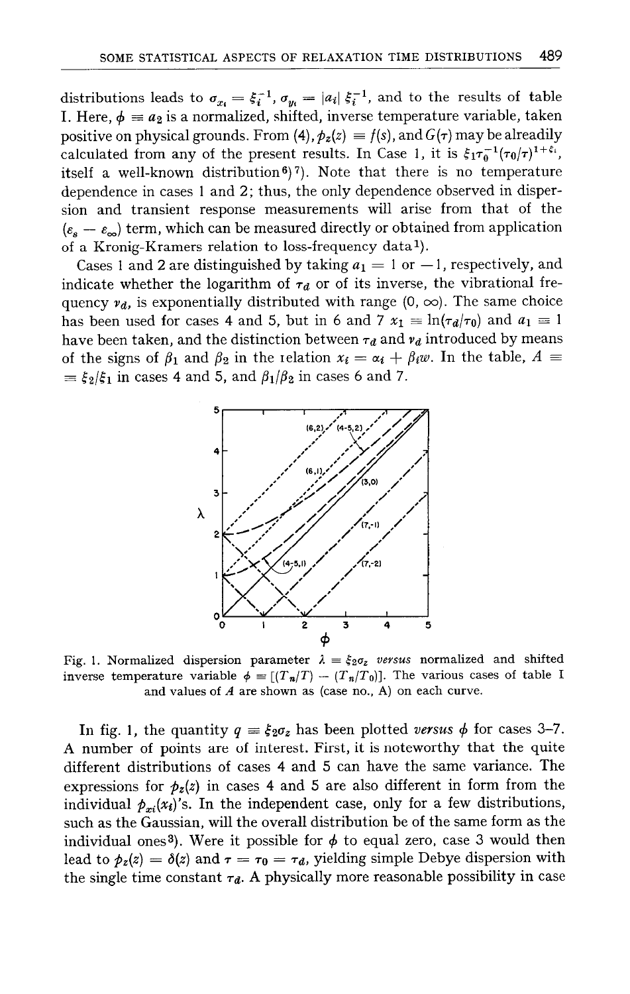distributions leads to  $\sigma_{x_i} = \xi_i^{-1}$ ,  $\sigma_{y_i} = |a_i| \xi_i^{-1}$ , and to the results of table **I.** Here,  $\phi \equiv a_2$  is a normalized, shifted, inverse temperature variable, taker positive on physical grounds. From (4),  $p_z(z) \equiv f(s)$ , and  $G(\tau)$  may be alreadily calculated from any of the present results. In Case 1, it is  $\xi_1 \tau_0^{-1} (\tau_0/\tau)^{1+\xi_1}$ , itself a well-known distribution<sup>6</sup>)<sup>7</sup>). Note that there is no temperature dependence in cases 1 and 2; thus, the only dependence observed in dispersion and transient response measurements will arise from that of the  $(\varepsilon_s - \varepsilon_\infty)$  term, which can be measured directly or obtained from application of a Kronig-Kramers relation to loss-frequency data<sup>1</sup>).

Cases 1 and 2 are distinguished by taking  $a_1 = 1$  or  $-1$ , respectively, and indicate whether the logarithm of  $\tau_d$  or of its inverse, the vibrational frequency  $v_d$ , is exponentially distributed with range (0,  $\infty$ ). The same choice has been used for cases 4 and 5, but in 6 and 7  $x_1 \equiv \ln(\tau_d/\tau_0)$  and  $a_1 \equiv 1$ have been taken, and the distinction between  $\tau_d$  and  $\nu_d$  introduced by means of the signs of  $\beta_1$  and  $\beta_2$  in the relation  $x_i = \alpha_i + \beta_i w$ . In the table,  $A \equiv$  $\equiv \xi_2/\xi_1$  in cases 4 and 5, and  $\beta_1/\beta_2$  in cases 6 and 7.



Fig. 1. Normalized dispersion parameter  $\lambda = \xi_2 \sigma_z$  versus normalized and shifted inverse temperature variable  $\phi = [(T_n/T) - (T_n/T_0)]$ . The various cases of table I and values of *A* are shown as (case no., A) on each curve.

In fig. 1, the quantity  $q = \xi_2 \sigma_z$  has been plotted versus  $\phi$  for cases 3-7. A number of points are of interest. First, it is noteworthy that the quite different distributions of cases 4 and 5 can have the same variance. The expressions for  $p_z(z)$  in cases 4 and 5 are also different in form from the individual  $p_{xi}(x_i)'$ s. In the independent case, only for a few distributions, such as the Gaussian, will the overall distribution be of the same form as the individual ones<sup>3</sup>). Were it possible for  $\phi$  to equal zero, case 3 would then lead to  $p_z(z) = \delta(z)$  and  $\tau = \tau_0 = \tau_d$ , yielding simple Debye dispersion with the single time constant  $\tau_d$ . A physically more reasonable possibility in case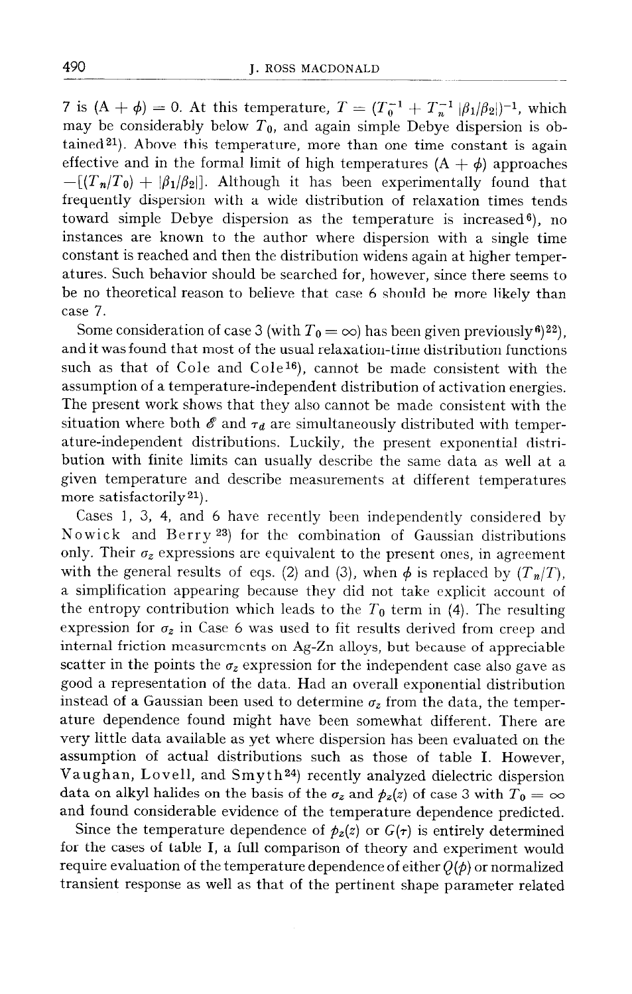*7* is  $(A + \phi) = 0$ . At this temperature,  $T = (T_0^{-1} + T_n^{-1} | \beta_1 | \beta_2 |)^{-1}$ , which may be considerably below  $T_0$ , and again simple Debye dispersion is obtained<sup>21</sup>). Above this temperature, more than one time constant is again effective and in the formal limit of high temperatures  $(A + \phi)$  approaches  $-[T_n/T_0] + |\beta_1/\beta_2|]$ . Although it has been experimentally found that frequently dispersion with a wide distribution of relaxation times tends toward simple Debye dispersion as the temperature is increased  $6$ ), no instances are known to the author where dispersion with a single time constant is reached and then the distribution widens again at higher temperatures. Such behavior should be searched for, however, since there seems to be no theoretical reason to believe that case 6 should be more likely than case 7.

Some consideration of case 3 (with  $T_0 = \infty$ ) has been given previously<sup>6</sup>)<sup>22</sup>), and it was found that most of the usual relaxation-time distribution functions such as that of Cole and Cole<sup>16</sup>), cannot be made consistent with the assumption of a temperature-independent distribution of activation energies. The present work shows that they also cannot be made consistent with the situation where both  $\mathscr E$  and  $\tau_d$  are simultaneously distributed with temperature-independent distributions. Luckily, the present exponential distribution with finite limits can usually describe the same data as well at a given temperature and describe measurements at different temperatures more satisfactorily  $21$ ).

Cases 1, 3, 4, and 6 have recently been independently considered by Nowick and Berry 23) for the combination of Gaussian distributions only. Their  $\sigma_z$  expressions are equivalent to the present ones, in agreement with the general results of eqs. (2) and (3), when  $\phi$  is replaced by  $(T_n/T)$ , a simplification appearing because they did not take explicit account of the entropy contribution which leads to the  $T_0$  term in (4). The resulting expression for  $\sigma_z$  in Case 6 was used to fit results derived from creep and internal friction measurements on Ag-Zn alloys, but because of appreciable scatter in the points the  $\sigma_z$  expression for the independent case also gave as good a representation of the data. Had an overall exponential distribution instead of a Gaussian been used to determine  $\sigma_z$  from the data, the temperature dependence found might have been somewhat different. There are very little data available as yet where dispersion has been evaluated on the assumption of actual distributions such as those of table I. However, Vaughan, Lovell, and Smyt h24) recently analyzed dielectric dispersion data on alkyl halides on the basis of the  $\sigma_z$  and  $\dot{p}_z(z)$  of case 3 with  $T_0 = \infty$ and found considerable evidence of the temperature dependence predicted.

Since the temperature dependence of  $p_z(z)$  or  $G(\tau)$  is entirely determined for the cases of table I, a full comparison of theory and experiment would require evaluation of the temperature dependence of either  $Q(\phi)$  or normalized transient response as well as that of the pertinent shape parameter related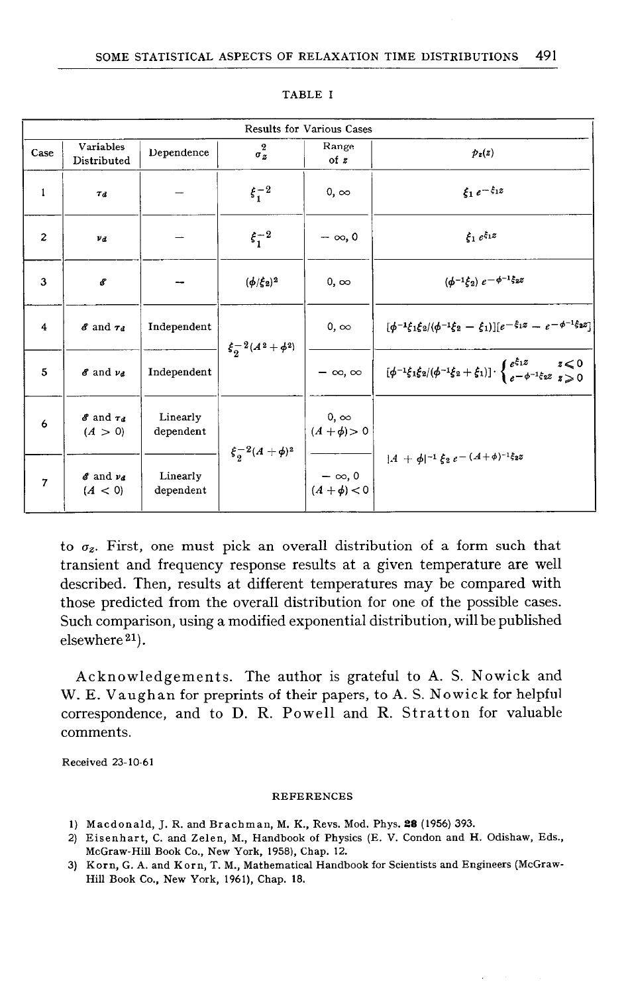| <b>Results for Various Cases</b> |                                 |                       |                                |                                    |                                                                                                                                                                                        |
|----------------------------------|---------------------------------|-----------------------|--------------------------------|------------------------------------|----------------------------------------------------------------------------------------------------------------------------------------------------------------------------------------|
| Case                             | Variables<br>Distributed        | Dependence            | $\bf{2}$<br>$\sigma_z$         | Range<br>of $z$                    | $p_z(z)$                                                                                                                                                                               |
| $\mathbf{1}$                     | $T_{d}$                         |                       | $\xi_1^{-2}$                   | $0, \infty$                        | $\xi_1 e^{-\xi_1 z}$                                                                                                                                                                   |
| $\overline{c}$                   | $\mathbf{v}_d$                  |                       | $\xi_1^{-2}$                   | $-\infty$ , 0                      | $\xi_1 e^{\xi_1 z}$                                                                                                                                                                    |
| 3                                | 8                               |                       | $(\phi/\xi_2)^2$               | $0, \infty$                        | $(\phi^{-1}\xi_2) e^{-\phi^{-1}\xi_2}$                                                                                                                                                 |
| 4                                | $8$ and $7d$                    | Independent           | $\xi_{2}^{-2}(A^{2}+\phi^{2})$ | $0, \infty$                        | $[\phi^{-1}\xi_1\xi_2/(\phi^{-1}\xi_2-\xi_1)][e^{-\xi_1z}-e^{-\phi^{-1}\xi_2z}]$                                                                                                       |
| 5                                | 8 and va                        | Independent           |                                |                                    | $-\infty, \infty$ $\left[\begin{array}{cc} (\phi^{-1}\xi_1\xi_2/(\phi^{-1}\xi_2+\xi_1)) \cdot \begin{cases} e^{\xi_1 z} & z < 0 \\ e^{-\phi^{-1}\xi_2 z} & z \ge 0 \end{cases}\right]$ |
| 6                                | $8$ and $74$<br>(A > 0)         | Linearly<br>dependent | $\xi_{2}^{-2}(A + \phi)^{2}$   | $0, \infty$<br>$(A + \phi) > 0$    |                                                                                                                                                                                        |
| $\overline{7}$                   | $\delta$ and $\nu_d$<br>(A < 0) | Linearly<br>dependent |                                | $-\infty, 0$<br>( $A + \phi$ ) < 0 | $ A + \phi ^{-1} \xi_2 e^{-(A+\phi)^{-1} \xi_2 z}$                                                                                                                                     |

TABLE I

to  $\sigma_z$ . First, one must pick an overall distribution of a form such that transient and frequency response results at a given temperature are well described. Then, results at different temperatures may be compared with those predicted from the overall distribution for one of the possible cases. Such comparison, using a modified exponential distribution, will be published elsewhere 21).

Acknowledgements. The author is grateful to A. S. Nowick and W. E. Vaughan for preprints of their papers, to A. S. Nowick for helpful correspondence, and to D. R. Powell and R. Stratton for valuable comments.

Received 23-10-61

## **REFERENCES**

- 1) Macdonald, J. R. and Brachman, M. K., Revs. Mod. Phys. 28 (1956) 393.
- 2) Eisenhart, C. and Zelen, M., Handbook of Physics (E. V. Condon and H. Odishaw, Eds., McGraw-Hill Book Co., New York, 1958), Chap. 12.
- 3) Korn, G. A. and Kern, T. M., Mathematical Handbook for Scientists and Engineers (McGraw-Hill Book Co., New York, 1961), Chap. 18.